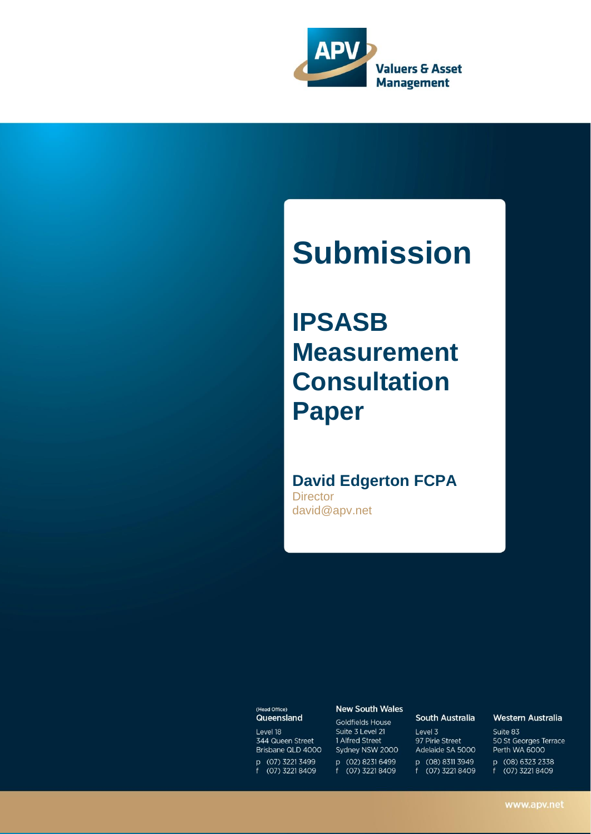

# **Submission**

**IPSASB Measurement Consultation Paper**

## **David Edgerton FCPA**

**Director** david@apv.net

#### (Head Office) Queensland

Level 18 344 Queen Street Brisbane QLD 4000 p (07) 3221 3499 f (07) 3221 8409

#### **New South Wales**

Goldfields House Suite 3 Level 21 1 Alfred Street Sydney NSW 2000 p (02) 8231 6499 f (07) 3221 8409

#### **South Australia**

Level 3 97 Pirie Street Adelaide SA 5000 p (08) 8311 3949 f (07) 3221 8409

#### Western Australia

Suite 83 50 St Georges Terrace Perth WA 6000 p (08) 6323 2338

f (07) 3221 8409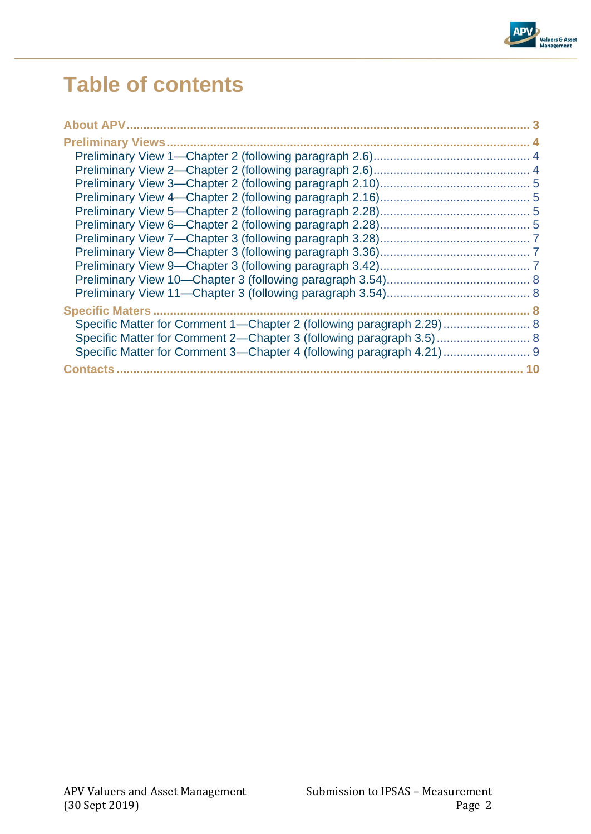

# **Table of contents**

| Specific Matter for Comment 1—Chapter 2 (following paragraph 2.29)  8 |  |
|-----------------------------------------------------------------------|--|
| Specific Matter for Comment 2—Chapter 3 (following paragraph 3.5) 8   |  |
| Specific Matter for Comment 3-Chapter 4 (following paragraph 4.21)  9 |  |
|                                                                       |  |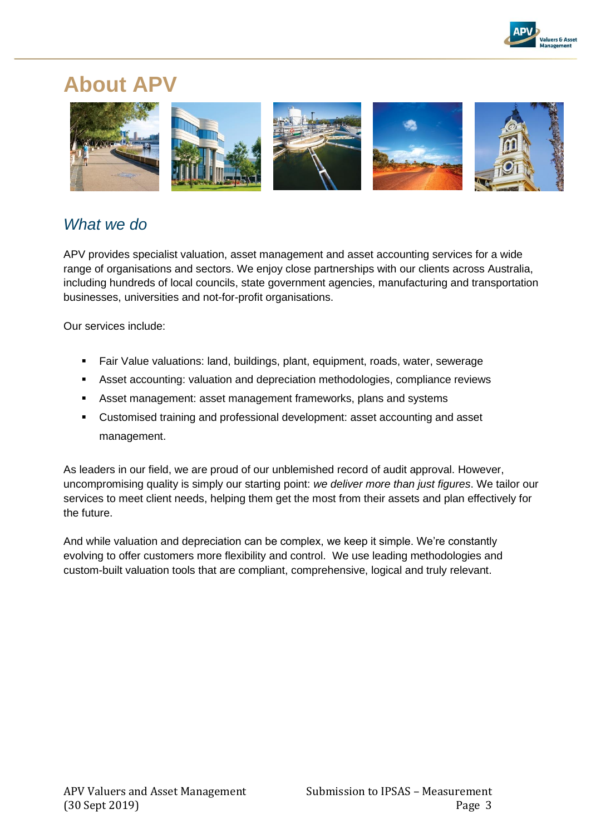

# **About APV**



## *What we do*

APV provides specialist valuation, asset management and asset accounting services for a wide range of organisations and sectors. We enjoy close partnerships with our clients across Australia, including hundreds of local councils, state government agencies, manufacturing and transportation businesses, universities and not-for-profit organisations.

Our services include:

- Fair Value valuations: land, buildings, plant, equipment, roads, water, sewerage
- **EXECOUNTER 19 Asset accounting: valuation and depreciation methodologies, compliance reviews**
- Asset management: asset management frameworks, plans and systems
- Customised training and professional development: asset accounting and asset management.

As leaders in our field, we are proud of our unblemished record of audit approval. However, uncompromising quality is simply our starting point: *we deliver more than just figures*. We tailor our services to meet client needs, helping them get the most from their assets and plan effectively for the future.

And while valuation and depreciation can be complex, we keep it simple. We're constantly evolving to offer customers more flexibility and control. We use leading methodologies and custom-built valuation tools that are compliant, comprehensive, logical and truly relevant.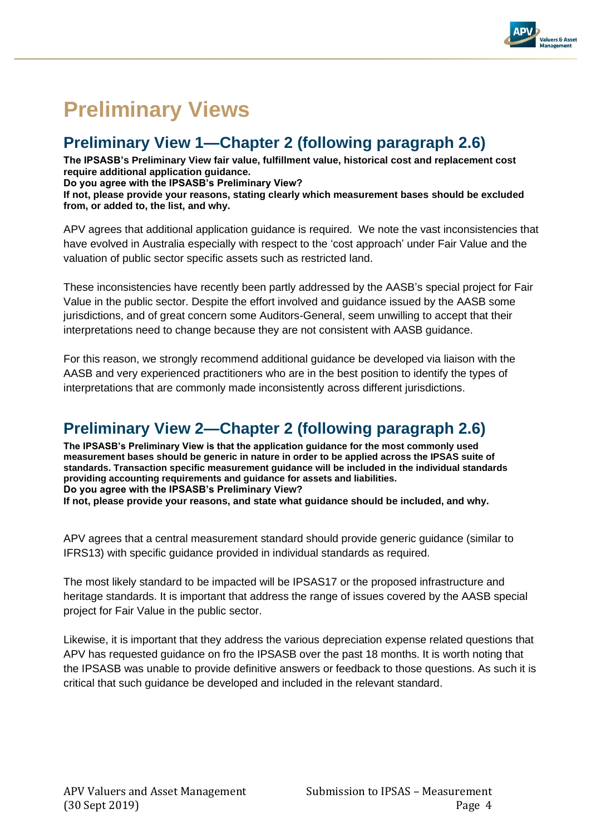

# **Preliminary Views**

## **Preliminary View 1—Chapter 2 (following paragraph 2.6)**

**The IPSASB's Preliminary View fair value, fulfillment value, historical cost and replacement cost require additional application guidance.** 

**Do you agree with the IPSASB's Preliminary View?** 

**If not, please provide your reasons, stating clearly which measurement bases should be excluded from, or added to, the list, and why.** 

APV agrees that additional application guidance is required. We note the vast inconsistencies that have evolved in Australia especially with respect to the 'cost approach' under Fair Value and the valuation of public sector specific assets such as restricted land.

These inconsistencies have recently been partly addressed by the AASB's special project for Fair Value in the public sector. Despite the effort involved and guidance issued by the AASB some jurisdictions, and of great concern some Auditors-General, seem unwilling to accept that their interpretations need to change because they are not consistent with AASB guidance.

For this reason, we strongly recommend additional guidance be developed via liaison with the AASB and very experienced practitioners who are in the best position to identify the types of interpretations that are commonly made inconsistently across different jurisdictions.

## **Preliminary View 2—Chapter 2 (following paragraph 2.6)**

**The IPSASB's Preliminary View is that the application guidance for the most commonly used measurement bases should be generic in nature in order to be applied across the IPSAS suite of standards. Transaction specific measurement guidance will be included in the individual standards providing accounting requirements and guidance for assets and liabilities. Do you agree with the IPSASB's Preliminary View?** 

**If not, please provide your reasons, and state what guidance should be included, and why.** 

APV agrees that a central measurement standard should provide generic guidance (similar to IFRS13) with specific guidance provided in individual standards as required.

The most likely standard to be impacted will be IPSAS17 or the proposed infrastructure and heritage standards. It is important that address the range of issues covered by the AASB special project for Fair Value in the public sector.

Likewise, it is important that they address the various depreciation expense related questions that APV has requested guidance on fro the IPSASB over the past 18 months. It is worth noting that the IPSASB was unable to provide definitive answers or feedback to those questions. As such it is critical that such guidance be developed and included in the relevant standard.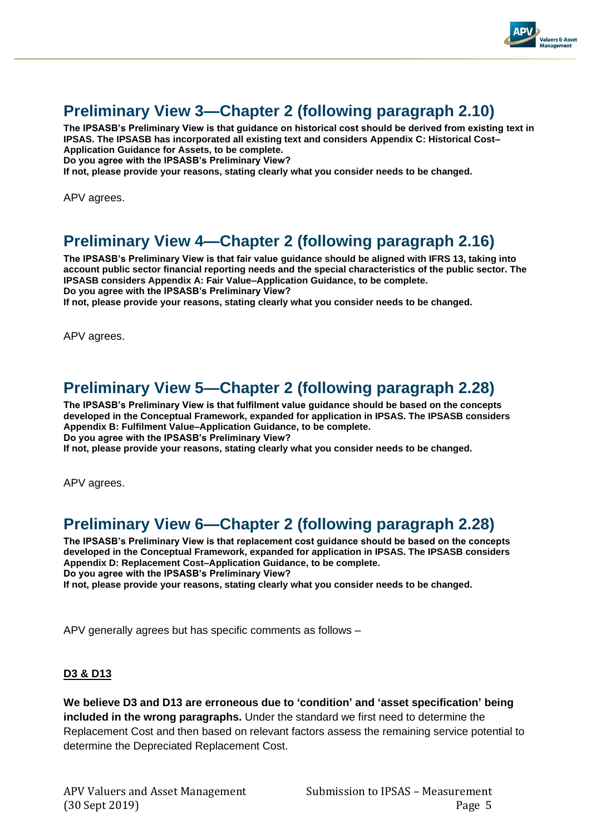

## **Preliminary View 3—Chapter 2 (following paragraph 2.10)**

**The IPSASB's Preliminary View is that guidance on historical cost should be derived from existing text in IPSAS. The IPSASB has incorporated all existing text and considers Appendix C: Historical Cost– Application Guidance for Assets, to be complete.** 

**Do you agree with the IPSASB's Preliminary View?** 

**If not, please provide your reasons, stating clearly what you consider needs to be changed.**

APV agrees.

## **Preliminary View 4—Chapter 2 (following paragraph 2.16)**

**The IPSASB's Preliminary View is that fair value guidance should be aligned with IFRS 13, taking into account public sector financial reporting needs and the special characteristics of the public sector. The IPSASB considers Appendix A: Fair Value–Application Guidance, to be complete. Do you agree with the IPSASB's Preliminary View?** 

**If not, please provide your reasons, stating clearly what you consider needs to be changed.** 

APV agrees.

## **Preliminary View 5—Chapter 2 (following paragraph 2.28)**

**The IPSASB's Preliminary View is that fulfilment value guidance should be based on the concepts developed in the Conceptual Framework, expanded for application in IPSAS. The IPSASB considers Appendix B: Fulfilment Value–Application Guidance, to be complete. Do you agree with the IPSASB's Preliminary View?** 

**If not, please provide your reasons, stating clearly what you consider needs to be changed.** 

APV agrees.

## **Preliminary View 6—Chapter 2 (following paragraph 2.28)**

**The IPSASB's Preliminary View is that replacement cost guidance should be based on the concepts developed in the Conceptual Framework, expanded for application in IPSAS. The IPSASB considers Appendix D: Replacement Cost–Application Guidance, to be complete. Do you agree with the IPSASB's Preliminary View?** 

**If not, please provide your reasons, stating clearly what you consider needs to be changed.** 

APV generally agrees but has specific comments as follows –

### **D3 & D13**

**We believe D3 and D13 are erroneous due to 'condition' and 'asset specification' being included in the wrong paragraphs.** Under the standard we first need to determine the Replacement Cost and then based on relevant factors assess the remaining service potential to determine the Depreciated Replacement Cost.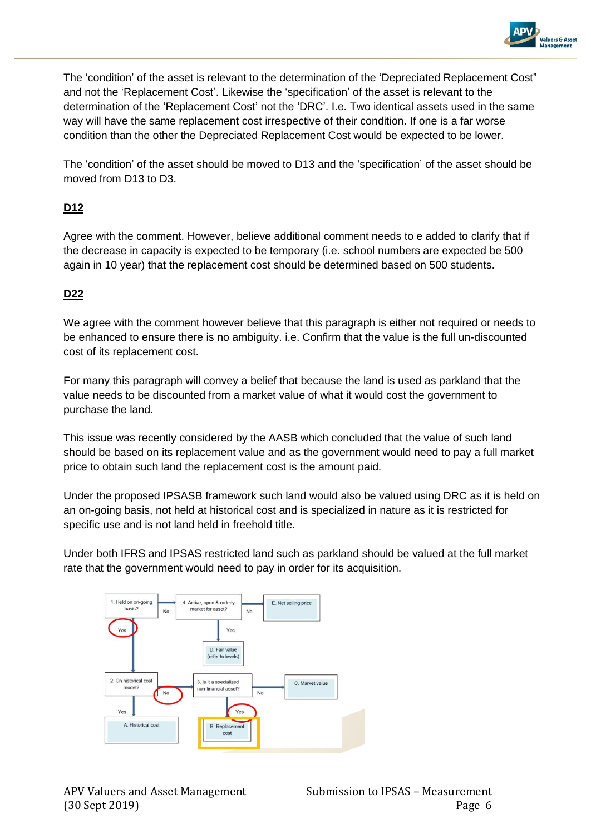

The 'condition' of the asset is relevant to the determination of the 'Depreciated Replacement Cost" and not the 'Replacement Cost'. Likewise the 'specification' of the asset is relevant to the determination of the 'Replacement Cost' not the 'DRC'. I.e. Two identical assets used in the same way will have the same replacement cost irrespective of their condition. If one is a far worse condition than the other the Depreciated Replacement Cost would be expected to be lower.

The 'condition' of the asset should be moved to D13 and the 'specification' of the asset should be moved from D13 to D3.

### **D12**

Agree with the comment. However, believe additional comment needs to e added to clarify that if the decrease in capacity is expected to be temporary (i.e. school numbers are expected be 500 again in 10 year) that the replacement cost should be determined based on 500 students.

### **D22**

We agree with the comment however believe that this paragraph is either not required or needs to be enhanced to ensure there is no ambiguity. i.e. Confirm that the value is the full un-discounted cost of its replacement cost.

For many this paragraph will convey a belief that because the land is used as parkland that the value needs to be discounted from a market value of what it would cost the government to purchase the land.

This issue was recently considered by the AASB which concluded that the value of such land should be based on its replacement value and as the government would need to pay a full market price to obtain such land the replacement cost is the amount paid.

Under the proposed IPSASB framework such land would also be valued using DRC as it is held on an on-going basis, not held at historical cost and is specialized in nature as it is restricted for specific use and is not land held in freehold title.

Under both IFRS and IPSAS restricted land such as parkland should be valued at the full market rate that the government would need to pay in order for its acquisition.

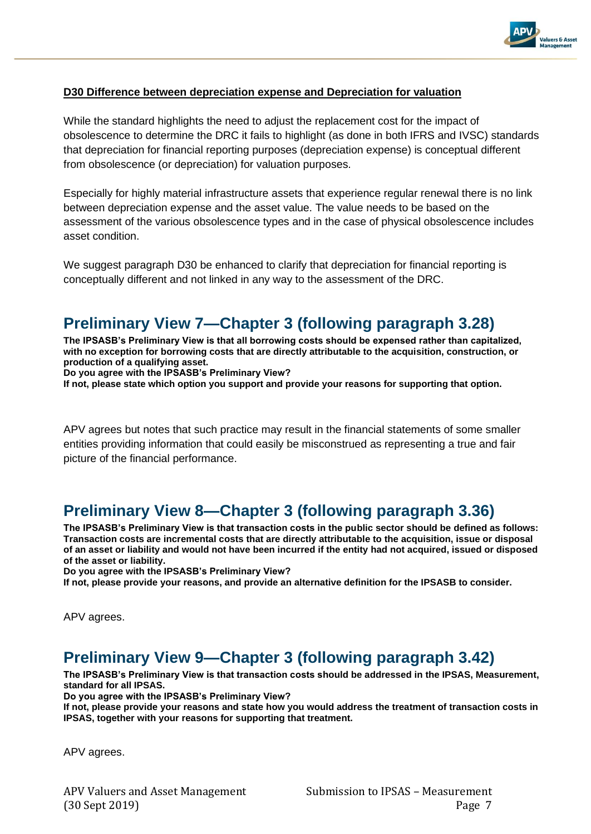

### **D30 Difference between depreciation expense and Depreciation for valuation**

While the standard highlights the need to adjust the replacement cost for the impact of obsolescence to determine the DRC it fails to highlight (as done in both IFRS and IVSC) standards that depreciation for financial reporting purposes (depreciation expense) is conceptual different from obsolescence (or depreciation) for valuation purposes.

Especially for highly material infrastructure assets that experience regular renewal there is no link between depreciation expense and the asset value. The value needs to be based on the assessment of the various obsolescence types and in the case of physical obsolescence includes asset condition.

We suggest paragraph D30 be enhanced to clarify that depreciation for financial reporting is conceptually different and not linked in any way to the assessment of the DRC.

## **Preliminary View 7—Chapter 3 (following paragraph 3.28)**

**The IPSASB's Preliminary View is that all borrowing costs should be expensed rather than capitalized, with no exception for borrowing costs that are directly attributable to the acquisition, construction, or production of a qualifying asset.** 

**Do you agree with the IPSASB's Preliminary View?** 

**If not, please state which option you support and provide your reasons for supporting that option.** 

APV agrees but notes that such practice may result in the financial statements of some smaller entities providing information that could easily be misconstrued as representing a true and fair picture of the financial performance.

## **Preliminary View 8—Chapter 3 (following paragraph 3.36)**

**The IPSASB's Preliminary View is that transaction costs in the public sector should be defined as follows: Transaction costs are incremental costs that are directly attributable to the acquisition, issue or disposal of an asset or liability and would not have been incurred if the entity had not acquired, issued or disposed of the asset or liability.** 

**Do you agree with the IPSASB's Preliminary View?** 

**If not, please provide your reasons, and provide an alternative definition for the IPSASB to consider.**

APV agrees.

## **Preliminary View 9—Chapter 3 (following paragraph 3.42)**

**The IPSASB's Preliminary View is that transaction costs should be addressed in the IPSAS, Measurement, standard for all IPSAS.** 

**Do you agree with the IPSASB's Preliminary View?** 

**If not, please provide your reasons and state how you would address the treatment of transaction costs in IPSAS, together with your reasons for supporting that treatment.** 

APV agrees.

APV Valuers and Asset Management Submission to IPSAS - Measurement (30 Sept 2019) Page 7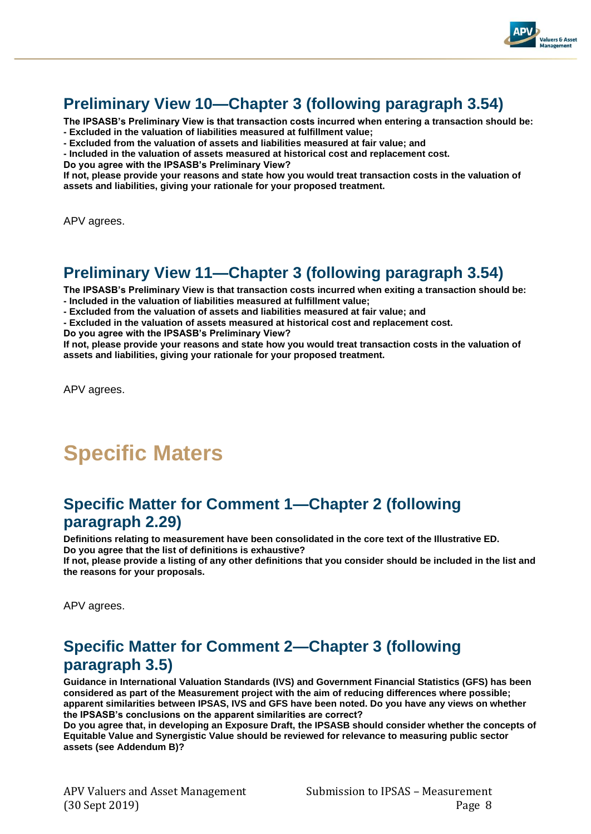

## **Preliminary View 10—Chapter 3 (following paragraph 3.54)**

**The IPSASB's Preliminary View is that transaction costs incurred when entering a transaction should be: - Excluded in the valuation of liabilities measured at fulfillment value;** 

**- Excluded from the valuation of assets and liabilities measured at fair value; and** 

**- Included in the valuation of assets measured at historical cost and replacement cost.** 

**Do you agree with the IPSASB's Preliminary View?** 

**If not, please provide your reasons and state how you would treat transaction costs in the valuation of assets and liabilities, giving your rationale for your proposed treatment.** 

APV agrees.

## **Preliminary View 11—Chapter 3 (following paragraph 3.54)**

**The IPSASB's Preliminary View is that transaction costs incurred when exiting a transaction should be:** 

**- Included in the valuation of liabilities measured at fulfillment value;** 

**- Excluded from the valuation of assets and liabilities measured at fair value; and** 

**- Excluded in the valuation of assets measured at historical cost and replacement cost.** 

**Do you agree with the IPSASB's Preliminary View?** 

**If not, please provide your reasons and state how you would treat transaction costs in the valuation of assets and liabilities, giving your rationale for your proposed treatment.** 

APV agrees.

# **Specific Maters**

## **Specific Matter for Comment 1—Chapter 2 (following paragraph 2.29)**

**Definitions relating to measurement have been consolidated in the core text of the Illustrative ED. Do you agree that the list of definitions is exhaustive?** 

**If not, please provide a listing of any other definitions that you consider should be included in the list and the reasons for your proposals.** 

APV agrees.

## **Specific Matter for Comment 2—Chapter 3 (following paragraph 3.5)**

**Guidance in International Valuation Standards (IVS) and Government Financial Statistics (GFS) has been considered as part of the Measurement project with the aim of reducing differences where possible; apparent similarities between IPSAS, IVS and GFS have been noted. Do you have any views on whether the IPSASB's conclusions on the apparent similarities are correct?** 

**Do you agree that, in developing an Exposure Draft, the IPSASB should consider whether the concepts of Equitable Value and Synergistic Value should be reviewed for relevance to measuring public sector assets (see Addendum B)?**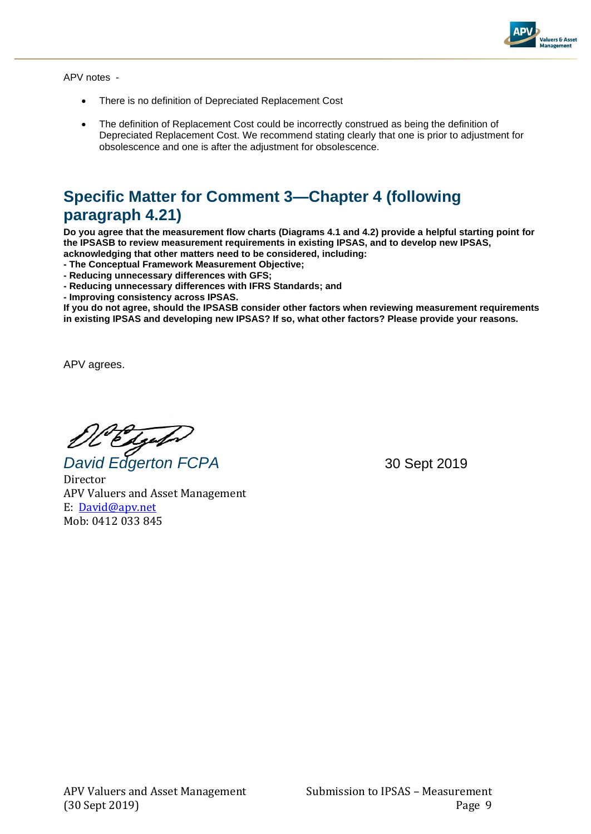

APV notes -

- There is no definition of Depreciated Replacement Cost
- The definition of Replacement Cost could be incorrectly construed as being the definition of Depreciated Replacement Cost. We recommend stating clearly that one is prior to adjustment for obsolescence and one is after the adjustment for obsolescence.

## **Specific Matter for Comment 3—Chapter 4 (following paragraph 4.21)**

**Do you agree that the measurement flow charts (Diagrams 4.1 and 4.2) provide a helpful starting point for the IPSASB to review measurement requirements in existing IPSAS, and to develop new IPSAS, acknowledging that other matters need to be considered, including:** 

**- The Conceptual Framework Measurement Objective;** 

**- Reducing unnecessary differences with GFS;** 

**- Reducing unnecessary differences with IFRS Standards; and** 

**- Improving consistency across IPSAS.** 

**If you do not agree, should the IPSASB consider other factors when reviewing measurement requirements in existing IPSAS and developing new IPSAS? If so, what other factors? Please provide your reasons.**

APV agrees.

*David Edgerton FCPA* 30 Sept 2019

Director APV Valuers and Asset Management E: [David@apv.net](mailto:David@apv.net) Mob: 0412 033 845